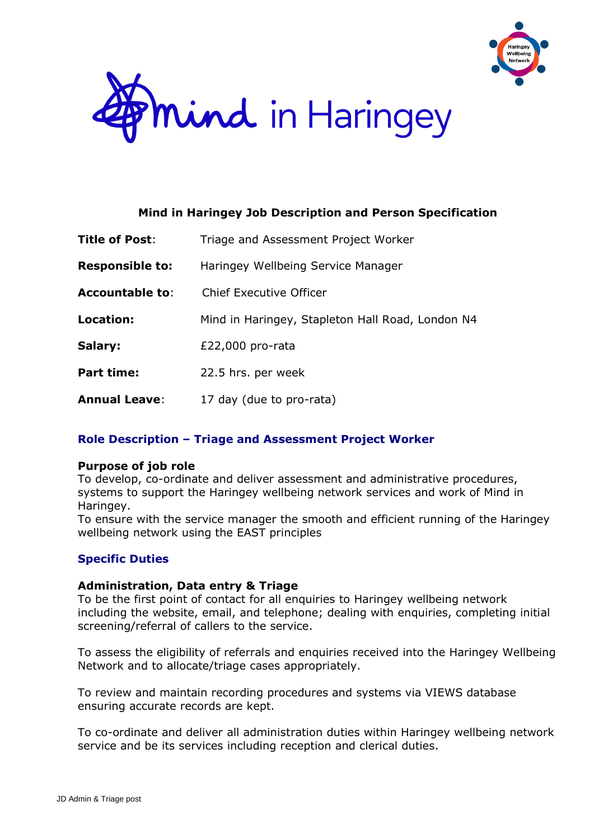



## **Mind in Haringey Job Description and Person Specification**

| Title of Post:         | Triage and Assessment Project Worker             |  |
|------------------------|--------------------------------------------------|--|
| <b>Responsible to:</b> | Haringey Wellbeing Service Manager               |  |
| <b>Accountable to:</b> | Chief Executive Officer                          |  |
| Location:              | Mind in Haringey, Stapleton Hall Road, London N4 |  |
| Salary:                | £22,000 pro-rata                                 |  |
| <b>Part time:</b>      | 22.5 hrs. per week                               |  |
| <b>Annual Leave:</b>   | 17 day (due to pro-rata)                         |  |

# **Role Description – Triage and Assessment Project Worker**

## **Purpose of job role**

To develop, co-ordinate and deliver assessment and administrative procedures, systems to support the Haringey wellbeing network services and work of Mind in Haringey.

To ensure with the service manager the smooth and efficient running of the Haringey wellbeing network using the EAST principles

# **Specific Duties**

## **Administration, Data entry & Triage**

To be the first point of contact for all enquiries to Haringey wellbeing network including the website, email, and telephone; dealing with enquiries, completing initial screening/referral of callers to the service.

To assess the eligibility of referrals and enquiries received into the Haringey Wellbeing Network and to allocate/triage cases appropriately.

To review and maintain recording procedures and systems via VIEWS database ensuring accurate records are kept.

To co-ordinate and deliver all administration duties within Haringey wellbeing network service and be its services including reception and clerical duties.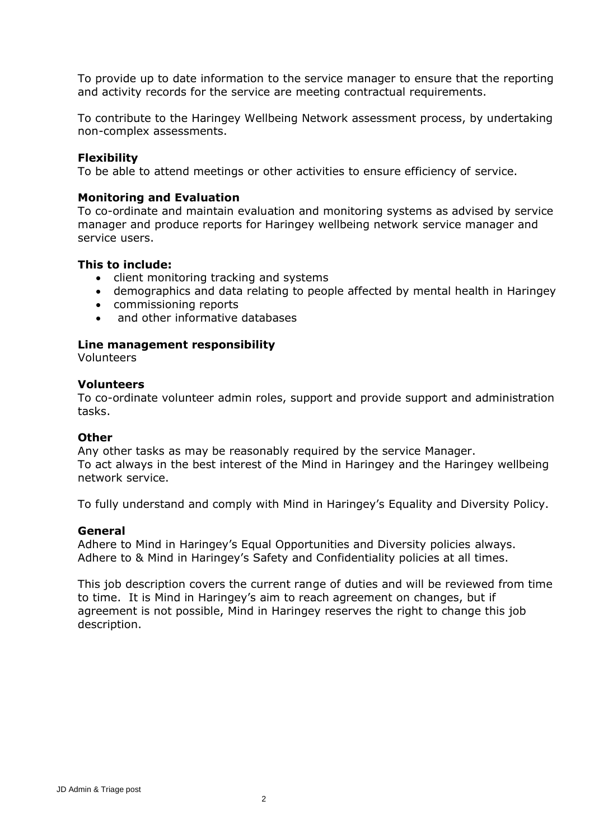To provide up to date information to the service manager to ensure that the reporting and activity records for the service are meeting contractual requirements.

To contribute to the Haringey Wellbeing Network assessment process, by undertaking non-complex assessments.

#### **Flexibility**

To be able to attend meetings or other activities to ensure efficiency of service.

#### **Monitoring and Evaluation**

To co-ordinate and maintain evaluation and monitoring systems as advised by service manager and produce reports for Haringey wellbeing network service manager and service users.

#### **This to include:**

- client monitoring tracking and systems
- demographics and data relating to people affected by mental health in Haringey
- commissioning reports
- and other informative databases

#### **Line management responsibility**

Volunteers

#### **Volunteers**

To co-ordinate volunteer admin roles, support and provide support and administration tasks.

#### **Other**

Any other tasks as may be reasonably required by the service Manager. To act always in the best interest of the Mind in Haringey and the Haringey wellbeing network service.

To fully understand and comply with Mind in Haringey's Equality and Diversity Policy.

#### **General**

Adhere to Mind in Haringey's Equal Opportunities and Diversity policies always. Adhere to & Mind in Haringey's Safety and Confidentiality policies at all times.

This job description covers the current range of duties and will be reviewed from time to time. It is Mind in Haringey's aim to reach agreement on changes, but if agreement is not possible, Mind in Haringey reserves the right to change this job description.